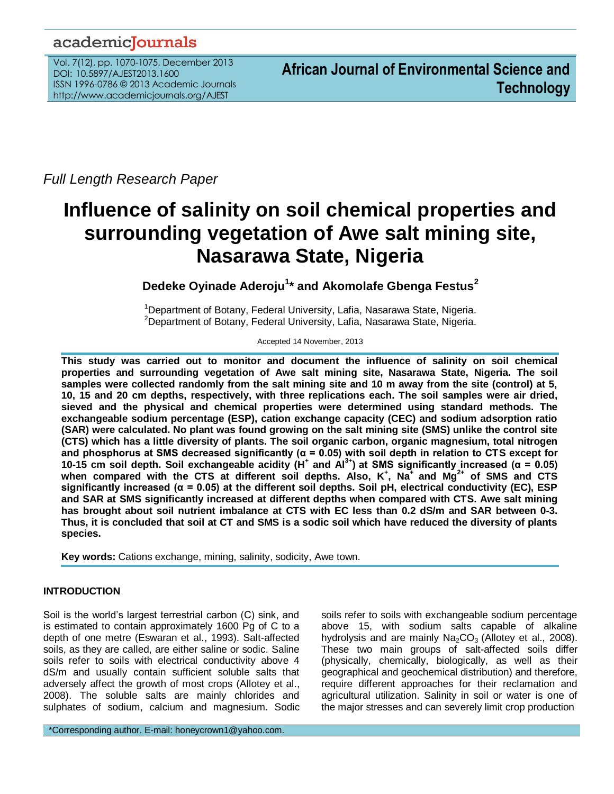# academicJournals

Vol. 7(12), pp. 1070-1075, December 2013 DOI: 10.5897/AJEST2013.1600 ISSN 1996-0786 © 2013 Academic Journals http://www.academicjournals.org/AJEST

*Full Length Research Paper*

# **Influence of salinity on soil chemical properties and surrounding vegetation of Awe salt mining site, Nasarawa State, Nigeria**

# **Dedeke Oyinade Aderoju<sup>1</sup> \* and Akomolafe Gbenga Festus<sup>2</sup>**

<sup>1</sup>Department of Botany, Federal University, Lafia, Nasarawa State, Nigeria.  $2$ Department of Botany, Federal University, Lafia, Nasarawa State, Nigeria.

Accepted 14 November, 2013

**This study was carried out to monitor and document the influence of salinity on soil chemical properties and surrounding vegetation of Awe salt mining site, Nasarawa State, Nigeria. The soil samples were collected randomly from the salt mining site and 10 m away from the site (control) at 5, 10, 15 and 20 cm depths, respectively, with three replications each. The soil samples were air dried, sieved and the physical and chemical properties were determined using standard methods. The exchangeable sodium percentage (ESP), cation exchange capacity (CEC) and sodium adsorption ratio (SAR) were calculated. No plant was found growing on the salt mining site (SMS) unlike the control site (CTS) which has a little diversity of plants. The soil organic carbon, organic magnesium, total nitrogen and phosphorus at SMS decreased significantly (α = 0.05) with soil depth in relation to CTS except for 10-15 cm soil depth. Soil exchangeable acidity (H<sup>+</sup> and Al3+) at SMS significantly increased (α = 0.05) when compared with the CTS at different soil depths. Also, K<sup>+</sup> , Na<sup>+</sup>and Mg2+ of SMS and CTS significantly increased (α = 0.05) at the different soil depths. Soil pH, electrical conductivity (EC), ESP and SAR at SMS significantly increased at different depths when compared with CTS. Awe salt mining has brought about soil nutrient imbalance at CTS with EC less than 0.2 dS/m and SAR between 0-3. Thus, it is concluded that soil at CT and SMS is a sodic soil which have reduced the diversity of plants species.**

**Key words:** Cations exchange, mining, salinity, sodicity, Awe town.

# **INTRODUCTION**

Soil is the world's largest terrestrial carbon (C) sink, and is estimated to contain approximately 1600 Pg of C to a depth of one metre (Eswaran et al., 1993). Salt-affected soils, as they are called, are either saline or sodic. Saline soils refer to soils with electrical conductivity above 4 dS/m and usually contain sufficient soluble salts that adversely affect the growth of most crops (Allotey et al., 2008). The soluble salts are mainly chlorides and sulphates of sodium, calcium and magnesium. Sodic soils refer to soils with exchangeable sodium percentage above 15, with sodium salts capable of alkaline hydrolysis and are mainly  $Na<sub>2</sub>CO<sub>3</sub>$  (Allotey et al., 2008). These two main groups of salt-affected soils differ (physically, chemically, biologically, as well as their geographical and geochemical distribution) and therefore, require different approaches for their reclamation and agricultural utilization. Salinity in soil or water is one of the major stresses and can severely limit crop production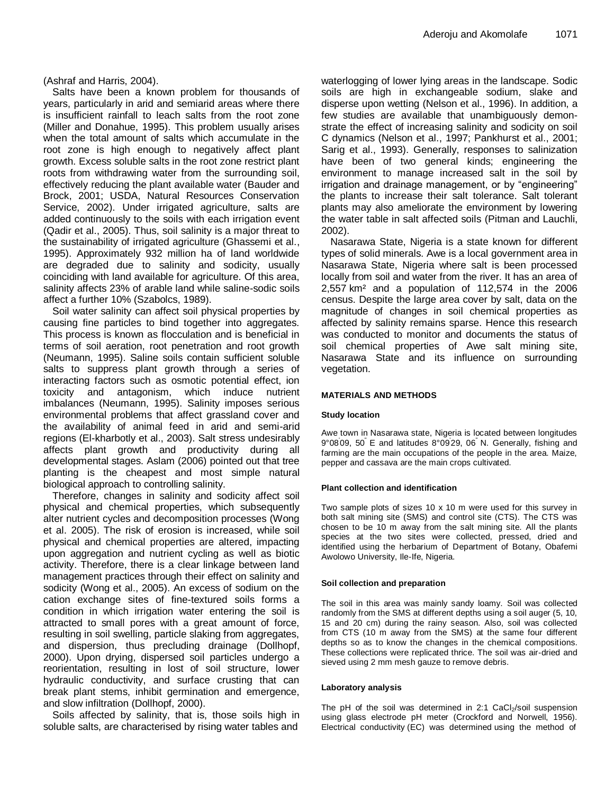(Ashraf and Harris, 2004).

Salts have been a known problem for thousands of years, particularly in arid and semiarid areas where there is insufficient rainfall to leach salts from the root zone (Miller and Donahue, 1995). This problem usually arises when the total amount of salts which accumulate in the root zone is high enough to negatively affect plant growth. Excess soluble salts in the root zone restrict plant roots from withdrawing water from the surrounding soil, effectively reducing the plant available water (Bauder and Brock, 2001; USDA, Natural Resources Conservation Service, 2002). Under irrigated agriculture, salts are added continuously to the soils with each irrigation event (Qadir et al., 2005). Thus, soil salinity is a major threat to the sustainability of irrigated agriculture (Ghassemi et al., 1995). Approximately 932 million ha of land worldwide are degraded due to salinity and sodicity, usually coinciding with land available for agriculture. Of this area, salinity affects 23% of arable land while saline-sodic soils affect a further 10% (Szabolcs, 1989).

Soil water salinity can affect soil physical properties by causing fine particles to bind together into aggregates. This process is known as flocculation and is beneficial in terms of soil aeration, root penetration and root growth (Neumann, 1995). Saline soils contain sufficient soluble salts to suppress plant growth through a series of interacting factors such as osmotic potential effect, ion toxicity and antagonism, which induce nutrient imbalances (Neumann, 1995). Salinity imposes serious environmental problems that affect grassland cover and the availability of animal feed in arid and semi-arid regions (El-kharbotly et al., 2003). Salt stress undesirably affects plant growth and productivity during all developmental stages. Aslam (2006) pointed out that tree planting is the cheapest and most simple natural biological approach to controlling salinity.

Therefore, changes in salinity and sodicity affect soil physical and chemical properties, which subsequently alter nutrient cycles and decomposition processes (Wong et al. 2005). The risk of erosion is increased, while soil physical and chemical properties are altered, impacting upon aggregation and nutrient cycling as well as biotic activity. Therefore, there is a clear linkage between land management practices through their effect on salinity and sodicity (Wong et al., 2005). An excess of sodium on the cation exchange sites of fine-textured soils forms a condition in which irrigation water entering the soil is attracted to small pores with a great amount of force, resulting in soil swelling, particle slaking from aggregates, and dispersion, thus precluding drainage (Dollhopf, 2000). Upon drying, dispersed soil particles undergo a reorientation, resulting in lost of soil structure, lower hydraulic conductivity, and surface crusting that can break plant stems, inhibit germination and emergence, and slow infiltration (Dollhopf, 2000).

Soils affected by salinity, that is, those soils high in soluble salts, are characterised by rising water tables and

waterlogging of lower lying areas in the landscape. Sodic soils are high in exchangeable sodium, slake and disperse upon wetting (Nelson et al., 1996). In addition, a few studies are available that unambiguously demonstrate the effect of increasing salinity and sodicity on soil C dynamics (Nelson et al., 1997; Pankhurst et al., 2001; Sarig et al., 1993). Generally, responses to salinization have been of two general kinds; engineering the environment to manage increased salt in the soil by irrigation and drainage management, or by "engineering" the plants to increase their salt tolerance. Salt tolerant plants may also ameliorate the environment by lowering the water table in salt affected soils (Pitman and Lauchli, 2002).

Nasarawa State, Nigeria is a state known for different types of solid minerals. Awe is a [local government area](http://en.wikipedia.org/wiki/Local_Government_Areas_of_Nigeria) in [Nasarawa State,](http://en.wikipedia.org/wiki/Nasarawa_State) [Nigeria](http://en.wikipedia.org/wiki/Nigeria) where salt is been processed locally from soil and water from the river. It has an area of 2,557 km² and a population of 112,574 in the 2006 census. Despite the large area cover by salt, data on the magnitude of changes in soil chemical properties as affected by salinity remains sparse. Hence this research was conducted to monitor and documents the status of soil chemical properties of Awe salt mining site, Nasarawa State and its influence on surrounding vegetation.

### **MATERIALS AND METHODS**

#### **Study location**

Awe town in Nasarawa state, Nigeria is located between longitudes 9°08' 09, 50" E and latitudes 8°09' 29, 06" N. Generally, fishing and farming are the main occupations of the people in the area. Maize, pepper and cassava are the main crops cultivated.

#### **Plant collection and identification**

Two sample plots of sizes 10 x 10 m were used for this survey in both salt mining site (SMS) and control site (CTS). The CTS was chosen to be 10 m away from the salt mining site. All the plants species at the two sites were collected, pressed, dried and identified using the herbarium of Department of Botany, Obafemi Awolowo University, Ile-Ife, Nigeria.

#### **Soil collection and preparation**

The soil in this area was mainly sandy loamy. Soil was collected randomly from the SMS at different depths using a soil auger (5, 10, 15 and 20 cm) during the rainy season. Also, soil was collected from CTS (10 m away from the SMS) at the same four different depths so as to know the changes in the chemical compositions. These collections were replicated thrice. The soil was air-dried and sieved using 2 mm mesh gauze to remove debris.

#### **Laboratory analysis**

The pH of the soil was determined in  $2:1$  CaCl<sub>2</sub>/soil suspension using glass electrode pH meter (Crockford and Norwell, 1956). Electrical conductivity (EC) was determined using the method of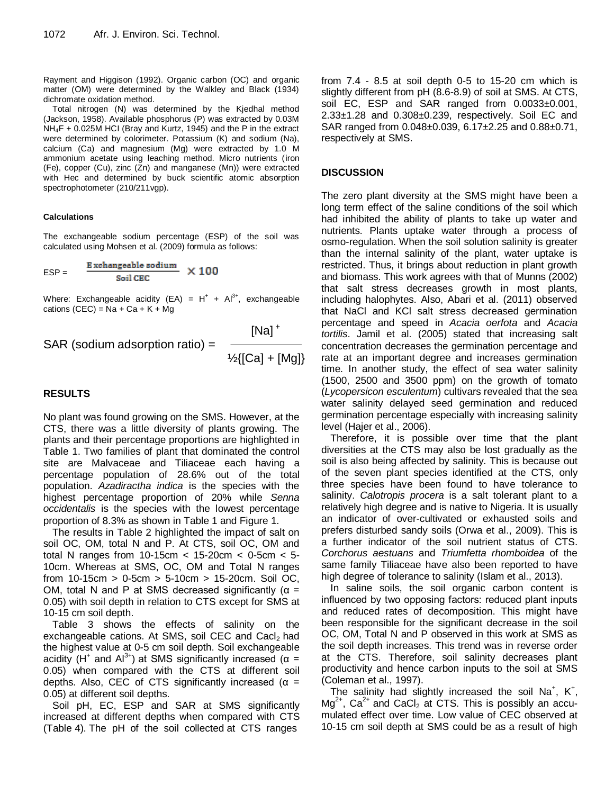Rayment and Higgison (1992). Organic carbon (OC) and organic matter (OM) were determined by the Walkley and Black (1934) dichromate oxidation method.

Total nitrogen (N) was determined by the Kjedhal method (Jackson, 1958). Available phosphorus (P) was extracted by 0.03M  $NH_4F + 0.025M$  HCI (Bray and Kurtz, 1945) and the P in the extract were determined by colorimeter. Potassium (K) and sodium (Na), calcium (Ca) and magnesium (Mg) were extracted by 1.0 M ammonium acetate using leaching method. Micro nutrients (iron (Fe), copper (Cu), zinc (Zn) and manganese (Mn)) were extracted with Hec and determined by buck scientific atomic absorption spectrophotometer (210/211vgp).

#### **Calculations**

The exchangeable sodium percentage (ESP) of the soil was calculated using Mohsen et al. (2009) formula as follows:

$$
ESP = \frac{Exchangeable sodium}{Soil CEC} \times 100
$$

Where: Exchangeable acidity (EA) =  $H^+ + Al^{3+}$ , exchangeable cations  $(CEC) = Na + Ca + K + Mg$ 

 $[Na]^+$  $\frac{1}{2}$ {[Ca] + [Mg]}

SAR (sodium adsorption ratio) =

## **RESULTS**

No plant was found growing on the SMS. However, at the CTS, there was a little diversity of plants growing. The plants and their percentage proportions are highlighted in Table 1. Two families of plant that dominated the control site are Malvaceae and Tiliaceae each having a percentage population of 28.6% out of the total population. *Azadiractha indica* is the species with the highest percentage proportion of 20% while *Senna occidentalis* is the species with the lowest percentage proportion of 8.3% as shown in Table 1 and Figure 1.

The results in Table 2 highlighted the impact of salt on soil OC, OM, total N and P. At CTS, soil OC, OM and total N ranges from 10-15cm < 15-20cm < 0-5cm < 5- 10cm. Whereas at SMS, OC, OM and Total N ranges from  $10-15$ cm >  $0-5$ cm >  $5-10$ cm >  $15-20$ cm. Soil OC, OM, total N and P at SMS decreased significantly ( $\alpha$  = 0.05) with soil depth in relation to CTS except for SMS at 10-15 cm soil depth.

Table 3 shows the effects of salinity on the exchangeable cations. At SMS, soil CEC and  $Cacl<sub>2</sub>$  had the highest value at 0-5 cm soil depth. Soil exchangeable acidity (H<sup>+</sup> and Al<sup>3+</sup>) at SMS significantly increased ( $\alpha$  = 0.05) when compared with the CTS at different soil depths. Also, CEC of CTS significantly increased ( $\alpha$  = 0.05) at different soil depths.

Soil pH, EC, ESP and SAR at SMS significantly increased at different depths when compared with CTS (Table 4). The pH of the soil collected at CTS ranges

from 7.4 - 8.5 at soil depth 0-5 to 15-20 cm which is slightly different from pH (8.6-8.9) of soil at SMS. At CTS, soil EC, ESP and SAR ranged from 0.0033±0.001, 2.33±1.28 and 0.308±0.239, respectively. Soil EC and SAR ranged from 0.048±0.039, 6.17±2.25 and 0.88±0.71, respectively at SMS.

## **DISCUSSION**

The zero plant diversity at the SMS might have been a long term effect of the saline conditions of the soil which had inhibited the ability of plants to take up water and nutrients. Plants uptake water through a process of osmo-regulation. When the soil solution salinity is greater than the internal salinity of the plant, water uptake is restricted. Thus, it brings about reduction in plant growth and biomass. This work agrees with that of Munns (2002) that salt stress decreases growth in most plants, including halophytes. Also, Abari et al. (2011) observed that NaCl and KCl salt stress decreased germination percentage and speed in *Acacia oerfota* and *Acacia tortilis*. Jamil et al. (2005) stated that increasing salt concentration decreases the germination percentage and rate at an important degree and increases germination time. In another study, the effect of sea water salinity (1500, 2500 and 3500 ppm) on the growth of tomato (*Lycopersicon esculentum*) cultivars revealed that the sea water salinity delayed seed germination and reduced germination percentage especially with increasing salinity level (Hajer et al., 2006).

Therefore, it is possible over time that the plant diversities at the CTS may also be lost gradually as the soil is also being affected by salinity. This is because out of the seven plant species identified at the CTS, only three species have been found to have tolerance to salinity. *Calotropis procera* is a salt tolerant plant to a relatively high degree and is native to Nigeria. It is usually an indicator of over-cultivated or exhausted soils and prefers disturbed sandy soils (Orwa et al., 2009). This is a further indicator of the soil nutrient status of CTS. *Corchorus aestuans* and *Triumfetta rhomboidea* of the same family Tiliaceae have also been reported to have high degree of tolerance to salinity (Islam et al., 2013).

In saline soils, the soil organic carbon content is influenced by two opposing factors: reduced plant inputs and reduced rates of decomposition. This might have been responsible for the significant decrease in the soil OC, OM, Total N and P observed in this work at SMS as the soil depth increases. This trend was in reverse order at the CTS. Therefore, soil salinity decreases plant productivity and hence carbon inputs to the soil at SMS (Coleman et al., 1997).

The salinity had slightly increased the soil Na<sup>+</sup>, K<sup>+</sup>,  $Mg^{2+}$ , Ca<sup>2+</sup> and CaCl<sub>2</sub> at CTS. This is possibly an accumulated effect over time. Low value of CEC observed at 10-15 cm soil depth at SMS could be as a result of high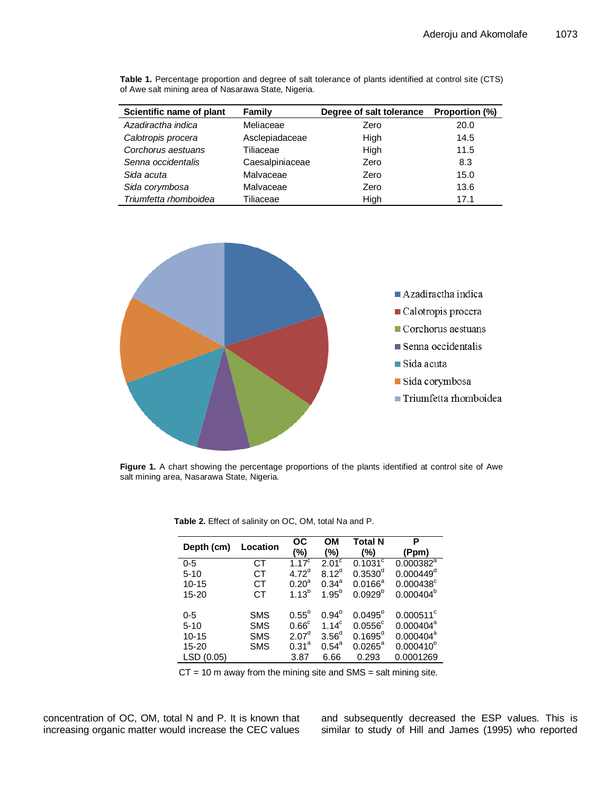| Scientific name of plant | Family          |      | <b>Proportion (%)</b> |  |
|--------------------------|-----------------|------|-----------------------|--|
| Azadiractha indica       | Meliaceae       | Zero | 20.0                  |  |
| Calotropis procera       | Asclepiadaceae  | High | 14.5                  |  |
| Corchorus aestuans       | Tiliaceae       | High | 11.5                  |  |
| Senna occidentalis       | Caesalpiniaceae | Zero | 8.3                   |  |
| Sida acuta               | Malvaceae       | Zero | 15.0                  |  |
| Sida corymbosa           | Malvaceae       | Zero | 13.6                  |  |
| Triumfetta rhomboidea    | Tiliaceae       | High | 171                   |  |

**Table 1.** Percentage proportion and degree of salt tolerance of plants identified at control site (CTS) of Awe salt mining area of Nasarawa State, Nigeria.



**Figure 1.** A chart showing the percentage proportions of the plants identified at control site of Awe salt mining area, Nasarawa State, Nigeria.

| Depth (cm) | Location   | ОC<br>$(\% )$     | OМ<br>$(\% )$                    | <b>Total N</b><br>(%) | Р<br>(Ppm)            |
|------------|------------|-------------------|----------------------------------|-----------------------|-----------------------|
| $0 - 5$    | СT         | $1.17^{c}$        | $2.0\overline{1}^{\overline{c}}$ | $0.1031^{\circ}$      | $0.000382^{a}$        |
| $5 - 10$   | CТ         | $4.72^{\circ}$    | $8.12^{d}$                       | $0.3530^{\circ}$      | 0.000449 <sup>d</sup> |
| $10 - 15$  | CТ         | $0.20^a$          | $0.34^{a}$                       | $0.0166^a$            | $0.000438^c$          |
| $15 - 20$  | CТ         | $1.13^{b}$        | $1.95^{b}$                       | $0.0929^{p}$          | $0.000404^{b}$        |
|            |            |                   |                                  |                       |                       |
| $0 - 5$    | <b>SMS</b> | $0.55^{b}$        | $0.94^{b}$                       | $0.0495^{b}$          | $0.000511^{\circ}$    |
| $5 - 10$   | <b>SMS</b> | 0.66 <sup>c</sup> | $1.14^c$                         | $0.0556$ <sup>c</sup> | $0.000404^a$          |
| $10 - 15$  | <b>SMS</b> | 2.07 <sup>d</sup> | 3.56 <sup>d</sup>                | $0.1695^d$            | $0.000404^a$          |
| $15 - 20$  | <b>SMS</b> | 0.31 <sup>a</sup> | $0.54^{\circ}$                   | $0.0265^{\circ}$      | $0.000410^{b}$        |
| LSD(0.05)  |            | 3.87              | 6.66                             | 0.293                 | 0.0001269             |

**Table 2.** Effect of salinity on OC, OM, total Na and P.

 $CT = 10$  m away from the mining site and SMS = salt mining site.

concentration of OC, OM, total N and P. It is known that increasing organic matter would increase the CEC values

and subsequently decreased the ESP values. This is similar to study of Hill and James (1995) who reported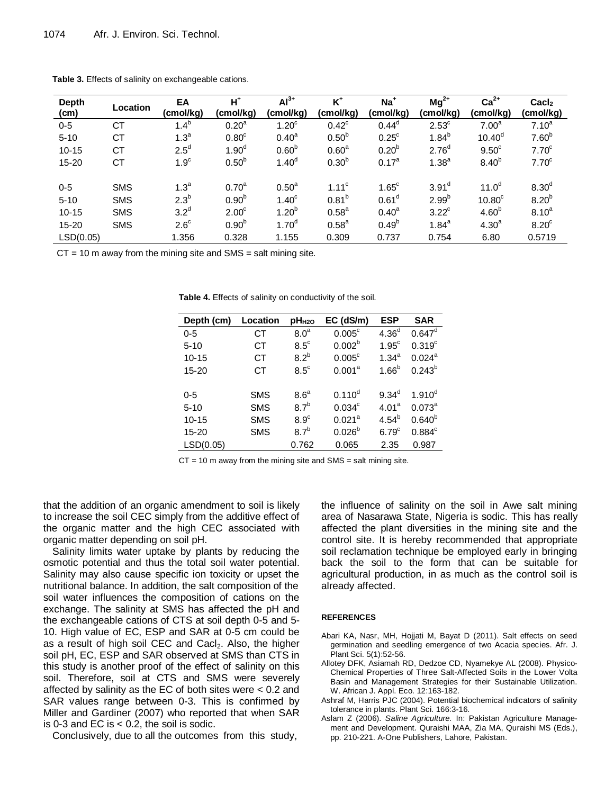| <b>Depth</b><br>(cm) | Location   | EA<br>(cmol/kg)  | $H^*$<br>(cmol/kg) | $\overline{Al}^{3+}$<br>(cmol/kg) | $K^+$<br>(cmol/kg) | Na <sup>+</sup><br>(cmol/kg) | $Mg^{2+}$<br>(cmol/kg) | $Ca2+$<br>(cmol/kg) | $\text{Cacl}_2$<br>(cmol/kg) |
|----------------------|------------|------------------|--------------------|-----------------------------------|--------------------|------------------------------|------------------------|---------------------|------------------------------|
| $0-5$                | <b>CT</b>  | $1.4^{b}$        | 0.20 <sup>a</sup>  | 1.20 <sup>c</sup>                 | $0.42^{\circ}$     | $0.44^d$                     | $2.53^{\circ}$         | 7.00 <sup>a</sup>   | $7.10^{a}$                   |
| $5 - 10$             | <b>CT</b>  | 1.3 <sup>a</sup> | 0.80 <sup>c</sup>  | $0.40^a$                          | $0.50^{b}$         | $0.25^{\circ}$               | $1.84^{b}$             | 10.40 <sup>d</sup>  | 7.60 <sup>b</sup>            |
| $10 - 15$            | СT         | $2.5^d$          | 1.90 <sup>d</sup>  | 0.60 <sup>b</sup>                 | 0.60 <sup>a</sup>  | $0.20^{b}$                   | 2.76 <sup>d</sup>      | 9.50 <sup>c</sup>   | 7.70 <sup>c</sup>            |
| $15 - 20$            | <b>CT</b>  | 1.9 <sup>c</sup> | $0.50^{b}$         | $1.40^{d}$                        | $0.30^{b}$         | $0.17^a$                     | 1.38 <sup>a</sup>      | 8.40 <sup>b</sup>   | 7.70 <sup>c</sup>            |
| $0 - 5$              | <b>SMS</b> | 1.3 <sup>a</sup> | 0.70 <sup>a</sup>  | 0.50 <sup>a</sup>                 | 1.11 <sup>c</sup>  | $1.65^{\circ}$               | 3.91 <sup>d</sup>      | 11.0 <sup>d</sup>   | 8.30 <sup>d</sup>            |
| $5 - 10$             | <b>SMS</b> | 2.3 <sup>b</sup> | $0.90^{b}$         | 1.40 <sup>c</sup>                 | $0.81^{b}$         | 0.61 <sup>d</sup>            | $2.99^{b}$             | 10.80 <sup>c</sup>  | 8.20 <sup>b</sup>            |
| $10 - 15$            | <b>SMS</b> | 3.2 <sup>d</sup> | 2.00 <sup>c</sup>  | 1.20 <sup>b</sup>                 | 0.58 <sup>a</sup>  | $0.40^{\circ}$               | $3.22^c$               | 4.60 <sup>b</sup>   | $8.10^{a}$                   |
| $15 - 20$            | <b>SMS</b> | $2.6^{\circ}$    | $0.90^{b}$         | 1.70 <sup>d</sup>                 | 0.58 <sup>a</sup>  | $0.49^{b}$                   | $1.84^{a}$             | 4.30 <sup>a</sup>   | 8.20 <sup>c</sup>            |
| LSD(0.05)            |            | 1.356            | 0.328              | 1.155                             | 0.309              | 0.737                        | 0.754                  | 6.80                | 0.5719                       |

**Table 3.** Effects of salinity on exchangeable cations.

 $CT = 10$  m away from the mining site and SMS = salt mining site.

**Table 4.** Effects of salinity on conductivity of the soil.

| Depth (cm) | Location   | pH <sub>H2O</sub> | $EC$ (dS/m)        | <b>ESP</b>        | <b>SAR</b>         |
|------------|------------|-------------------|--------------------|-------------------|--------------------|
| $0 - 5$    | СT         | 8.0 <sup>a</sup>  | $0.005^{\circ}$    | 4.36 <sup>d</sup> | $0.647^d$          |
| $5 - 10$   | СT         | $8.5^{\circ}$     | 0.002 <sup>b</sup> | $1.95^{\circ}$    | 0.319 <sup>c</sup> |
| $10 - 15$  | СT         | $8.2^b$           | $0.005^{\circ}$    | $1.34^{a}$        | $0.024^{a}$        |
| $15 - 20$  | СT         | $8.5^{\circ}$     | 0.001 <sup>a</sup> | $1.66^{b}$        | $0.243^{b}$        |
|            |            |                   |                    |                   |                    |
| $0 - 5$    | <b>SMS</b> | 8.6 <sup>a</sup>  | $0.110^{d}$        | $9.34^d$          | $1.910^{d}$        |
| $5 - 10$   | <b>SMS</b> | 8.7 <sup>b</sup>  | $0.034^c$          | 4.01 <sup>a</sup> | $0.073^{a}$        |
| $10 - 15$  | <b>SMS</b> | $8.9^\circ$       | 0.021 <sup>a</sup> | $4.54^{b}$        | $0.640^{b}$        |
| $15 - 20$  | <b>SMS</b> | 8.7 <sup>b</sup>  | $0.026^{b}$        | 6.79 <sup>c</sup> | $0.884^c$          |
| LSD(0.05)  |            | 0.762             | 0.065              | 2.35              | 0.987              |

 $CT = 10$  m away from the mining site and SMS = salt mining site.

that the addition of an organic amendment to soil is likely to increase the soil CEC simply from the additive effect of the organic matter and the high CEC associated with organic matter depending on soil pH.

Salinity limits water uptake by plants by reducing the osmotic potential and thus the total soil water potential. Salinity may also cause specific ion toxicity or upset the nutritional balance. In addition, the salt composition of the soil water influences the composition of cations on the exchange. The salinity at SMS has affected the pH and the exchangeable cations of CTS at soil depth 0-5 and 5- 10. High value of EC, ESP and SAR at 0-5 cm could be as a result of high soil CEC and Cacl<sub>2</sub>. Also, the higher soil pH, EC, ESP and SAR observed at SMS than CTS in this study is another proof of the effect of salinity on this soil. Therefore, soil at CTS and SMS were severely affected by salinity as the EC of both sites were < 0.2 and SAR values range between 0-3. This is confirmed by Miller and Gardiner (2007) who reported that when SAR is 0-3 and EC is  $< 0.2$ , the soil is sodic.

Conclusively, due to all the outcomes from this study,

the influence of salinity on the soil in Awe salt mining area of Nasarawa State, Nigeria is sodic. This has really affected the plant diversities in the mining site and the control site. It is hereby recommended that appropriate soil reclamation technique be employed early in bringing back the soil to the form that can be suitable for agricultural production, in as much as the control soil is already affected.

#### **REFERENCES**

- Abari KA, Nasr, MH, Hojjati M, Bayat D (2011). Salt effects on seed germination and seedling emergence of two Acacia species. Afr. J. Plant Sci. 5(1):52-56.
- Allotey DFK, Asiamah RD, Dedzoe CD, Nyamekye AL (2008). Physico-Chemical Properties of Three Salt-Affected Soils in the Lower Volta Basin and Management Strategies for their Sustainable Utilization. W. African J. Appl. Eco. 12:163-182.
- Ashraf M, Harris PJC (2004). Potential biochemical indicators of salinity tolerance in plants. Plant Sci. 166:3-16.
- Aslam Z (2006). *Saline Agriculture.* In: Pakistan Agriculture Management and Development. Quraishi MAA, Zia MA, Quraishi MS (Eds.), pp. 210-221. A-One Publishers, Lahore, Pakistan.